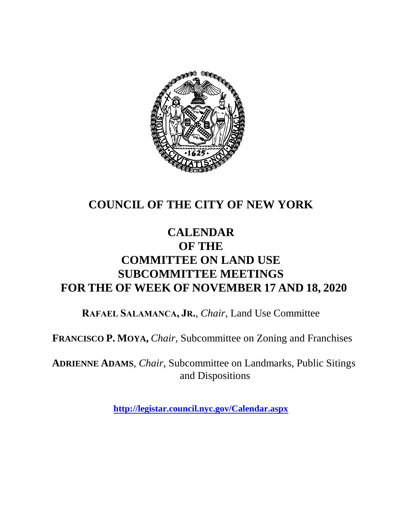

# **COUNCIL OF THE CITY OF NEW YORK**

# **CALENDAR OF THE COMMITTEE ON LAND USE SUBCOMMITTEE MEETINGS FOR THE OF WEEK OF NOVEMBER 17 AND 18, 2020**

**RAFAEL SALAMANCA, JR.**, *Chair*, Land Use Committee

**FRANCISCO P. MOYA,** *Chair,* Subcommittee on Zoning and Franchises

**ADRIENNE ADAMS**, *Chair*, Subcommittee on Landmarks, Public Sitings and Dispositions

**<http://legistar.council.nyc.gov/Calendar.aspx>**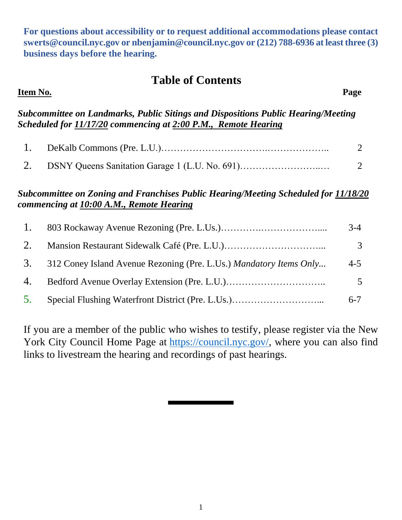**For questions about accessibility or to request additional accommodations please contact [swerts@council.nyc.gov](mailto:swerts@council.nyc.gov) or [nbenjamin@council.nyc.gov](mailto:nbenjamin@council.nyc.gov) or (212) 788-6936 at least three (3) business days before the hearing.**

### **Table of Contents**

| Item No.                                                                                                                                            |                                                                                                                                 | Page           |  |
|-----------------------------------------------------------------------------------------------------------------------------------------------------|---------------------------------------------------------------------------------------------------------------------------------|----------------|--|
| Subcommittee on Landmarks, Public Sitings and Dispositions Public Hearing/Meeting<br>Scheduled for 11/17/20 commencing at 2:00 P.M., Remote Hearing |                                                                                                                                 |                |  |
| 1.                                                                                                                                                  |                                                                                                                                 | $\overline{2}$ |  |
| 2.                                                                                                                                                  | DSNY Queens Sanitation Garage 1 (L.U. No. 691)                                                                                  | $\overline{2}$ |  |
|                                                                                                                                                     | Subcommittee on Zoning and Franchises Public Hearing/Meeting Scheduled for 11/18/20<br>commencing at 10:00 A.M., Remote Hearing |                |  |
| 1.                                                                                                                                                  |                                                                                                                                 | $3-4$          |  |
| 2.                                                                                                                                                  |                                                                                                                                 | 3              |  |
| 3.                                                                                                                                                  | 312 Coney Island Avenue Rezoning (Pre. L.Us.) Mandatory Items Only                                                              | $4 - 5$        |  |

5. Special Flushing Waterfront District (Pre. L.Us.)………………………... 6-7

If you are a member of the public who wishes to testify, please register via the New York City Council Home Page at [https://council.nyc.gov/,](https://council.nyc.gov/) where you can also find links to livestream the hearing and recordings of past hearings.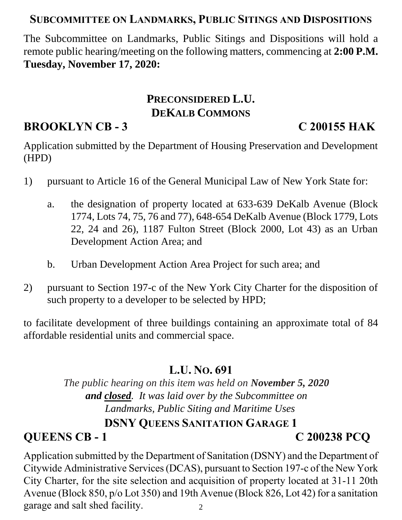### **SUBCOMMITTEE ON LANDMARKS, PUBLIC SITINGS AND DISPOSITIONS**

The Subcommittee on Landmarks, Public Sitings and Dispositions will hold a remote public hearing/meeting on the following matters, commencing at **2:00 P.M. Tuesday, November 17, 2020:**

# **PRECONSIDERED L.U. DEKALB COMMONS**

# **BROOKLYN CB - 3 C 200155 HAK**

Application submitted by the Department of Housing Preservation and Development (HPD)

- 1) pursuant to Article 16 of the General Municipal Law of New York State for:
	- a. the designation of property located at 633-639 DeKalb Avenue (Block 1774, Lots 74, 75, 76 and 77), 648-654 DeKalb Avenue (Block 1779, Lots 22, 24 and 26), 1187 Fulton Street (Block 2000, Lot 43) as an Urban Development Action Area; and
	- b. Urban Development Action Area Project for such area; and
- 2) pursuant to Section 197-c of the New York City Charter for the disposition of such property to a developer to be selected by HPD;

to facilitate development of three buildings containing an approximate total of 84 affordable residential units and commercial space.

### **L.U. NO. 691**

*The public hearing on this item was held on November 5, 2020 and closed. It was laid over by the Subcommittee on Landmarks, Public Siting and Maritime Uses* **DSNY QUEENS SANITATION GARAGE 1**

# **QUEENS CB - 1 C 200238 PCQ**

2 Application submitted by the Department of Sanitation (DSNY) and the Department of Citywide Administrative Services (DCAS), pursuant to Section 197-c of the New York City Charter, for the site selection and acquisition of property located at 31-11 20th Avenue (Block 850, p/o Lot 350) and 19th Avenue (Block 826, Lot 42) for a sanitation garage and salt shed facility.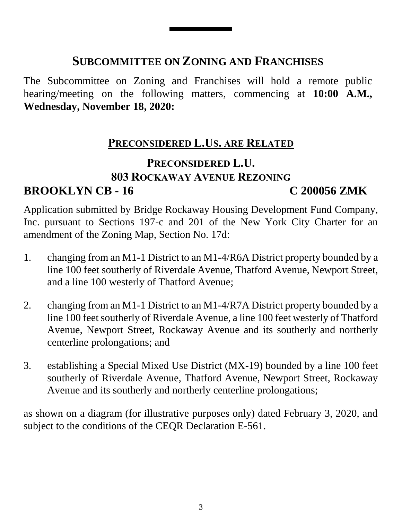# **SUBCOMMITTEE ON ZONING AND FRANCHISES**

The Subcommittee on Zoning and Franchises will hold a remote public hearing/meeting on the following matters, commencing at **10:00 A.M., Wednesday, November 18, 2020:**

### **PRECONSIDERED L.US. ARE RELATED**

# **PRECONSIDERED L.U. 803 ROCKAWAY AVENUE REZONING BROOKLYN CB - 16 C 200056 ZMK**

Application submitted by Bridge Rockaway Housing Development Fund Company, Inc. pursuant to Sections 197-c and 201 of the New York City Charter for an amendment of the Zoning Map, Section No. 17d:

- 1. changing from an M1-1 District to an M1-4/R6A District property bounded by a line 100 feet southerly of Riverdale Avenue, Thatford Avenue, Newport Street, and a line 100 westerly of Thatford Avenue;
- 2. changing from an M1-1 District to an M1-4/R7A District property bounded by a line 100 feet southerly of Riverdale Avenue, a line 100 feet westerly of Thatford Avenue, Newport Street, Rockaway Avenue and its southerly and northerly centerline prolongations; and
- 3. establishing a Special Mixed Use District (MX-19) bounded by a line 100 feet southerly of Riverdale Avenue, Thatford Avenue, Newport Street, Rockaway Avenue and its southerly and northerly centerline prolongations;

as shown on a diagram (for illustrative purposes only) dated February 3, 2020, and subject to the conditions of the CEQR Declaration E-561.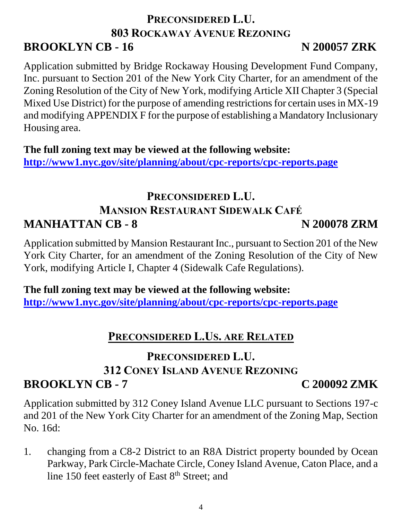## **PRECONSIDERED L.U. 803 ROCKAWAY AVENUE REZONING BROOKLYN CB - 16 N 200057 ZRK**

Application submitted by Bridge Rockaway Housing Development Fund Company, Inc. pursuant to Section 201 of the New York City Charter, for an amendment of the Zoning Resolution of the City of New York, modifying Article XII Chapter 3 (Special Mixed Use District) for the purpose of amending restrictions for certain uses in MX-19 and modifying APPENDIX F for the purpose of establishing a Mandatory Inclusionary Housing area.

**The full zoning text may be viewed at the following website: <http://www1.nyc.gov/site/planning/about/cpc-reports/cpc-reports.page>**

# **PRECONSIDERED L.U. MANSION RESTAURANT SIDEWALK CAFÉ MANHATTAN CB - 8 N 200078 ZRM**

Application submitted by Mansion Restaurant Inc., pursuant to Section 201 of the New York City Charter, for an amendment of the Zoning Resolution of the City of New York, modifying Article I, Chapter 4 (Sidewalk Cafe Regulations).

**The full zoning text may be viewed at the following website: <http://www1.nyc.gov/site/planning/about/cpc-reports/cpc-reports.page>**

### **PRECONSIDERED L.US. ARE RELATED**

### **PRECONSIDERED L.U. 312 CONEY ISLAND AVENUE REZONING BROOKLYN CB - 7 C 200092 ZMK**

Application submitted by 312 Coney Island Avenue LLC pursuant to Sections 197-c and 201 of the New York City Charter for an amendment of the Zoning Map, Section No. 16d:

1. changing from a C8-2 District to an R8A District property bounded by Ocean Parkway, Park Circle-Machate Circle, Coney Island Avenue, Caton Place, and a line 150 feet easterly of East 8<sup>th</sup> Street; and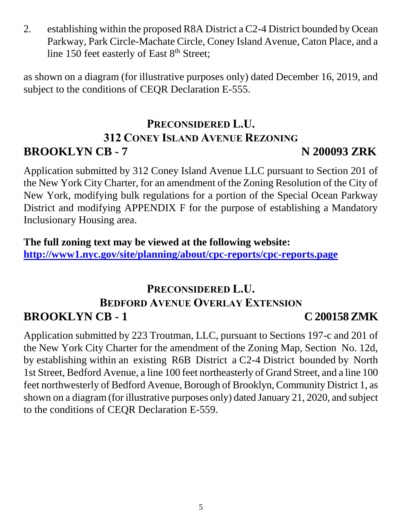2. establishing within the proposed R8A District a C2-4 District bounded by Ocean Parkway, Park Circle-Machate Circle, Coney Island Avenue, Caton Place, and a line 150 feet easterly of East  $8<sup>th</sup>$  Street;

as shown on a diagram (for illustrative purposes only) dated December 16, 2019, and subject to the conditions of CEQR Declaration E-555.

# **PRECONSIDERED L.U. 312 CONEY ISLAND AVENUE REZONING BROOKLYN CB - 7 N 200093 ZRK**

Application submitted by 312 Coney Island Avenue LLC pursuant to Section 201 of the New York City Charter, for an amendment of the Zoning Resolution of the City of New York, modifying bulk regulations for a portion of the Special Ocean Parkway District and modifying APPENDIX F for the purpose of establishing a Mandatory Inclusionary Housing area.

**The full zoning text may be viewed at the following website: <http://www1.nyc.gov/site/planning/about/cpc-reports/cpc-reports.page>**

### **PRECONSIDERED L.U. BEDFORD AVENUE OVERLAY EXTENSION BROOKLYN CB - 1 C 200158ZMK**

Application submitted by 223 Troutman, LLC, pursuant to Sections 197-c and 201 of the New York City Charter for the amendment of the Zoning Map, Section No. 12d, by establishing within an existing R6B District a C2-4 District bounded by North 1st Street, Bedford Avenue, a line 100 feet northeasterly of Grand Street, and a line 100 feet northwesterly of Bedford Avenue, Borough of Brooklyn, Community District 1, as shown on a diagram (for illustrative purposes only) dated January 21, 2020, and subject to the conditions of CEQR Declaration E-559.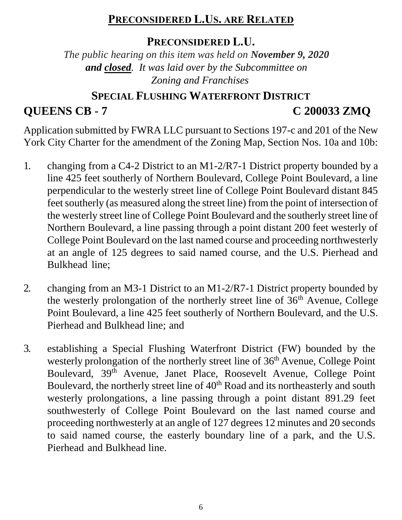### **PRECONSIDERED L.US. ARE RELATED**

### **PRECONSIDERED L.U.**

*The public hearing on this item was held on November 9, 2020 and closed. It was laid over by the Subcommittee on Zoning and Franchises*

# **SPECIAL FLUSHING WATERFRONT DISTRICT QUEENS CB - 7 C 200033 ZMQ**

Application submitted by FWRA LLC pursuant to Sections 197-c and 201 of the New York City Charter for the amendment of the Zoning Map, Section Nos. 10a and 10b:

- 1. changing from a C4-2 District to an M1-2/R7-1 District property bounded by a line 425 feet southerly of Northern Boulevard, College Point Boulevard, a line perpendicular to the westerly street line of College Point Boulevard distant 845 feet southerly (as measured along the street line) from the point of intersection of the westerly street line of College Point Boulevard and the southerly street line of Northern Boulevard, a line passing through a point distant 200 feet westerly of College Point Boulevard on the last named course and proceeding northwesterly at an angle of 125 degrees to said named course, and the U.S. Pierhead and Bulkhead line;
- 2. changing from an M3-1 District to an M1-2/R7-1 District property bounded by the westerly prolongation of the northerly street line of  $36<sup>th</sup>$  Avenue, College Point Boulevard, a line 425 feet southerly of Northern Boulevard, and the U.S. Pierhead and Bulkhead line; and
- 3. establishing a Special Flushing Waterfront District (FW) bounded by the westerly prolongation of the northerly street line of 36<sup>th</sup> Avenue, College Point Boulevard, 39<sup>th</sup> Avenue, Janet Place, Roosevelt Avenue, College Point Boulevard, the northerly street line of  $40<sup>th</sup>$  Road and its northeasterly and south westerly prolongations, a line passing through a point distant 891.29 feet southwesterly of College Point Boulevard on the last named course and proceeding northwesterly at an angle of 127 degrees 12 minutes and 20 seconds to said named course, the easterly boundary line of a park, and the U.S. Pierhead and Bulkhead line.